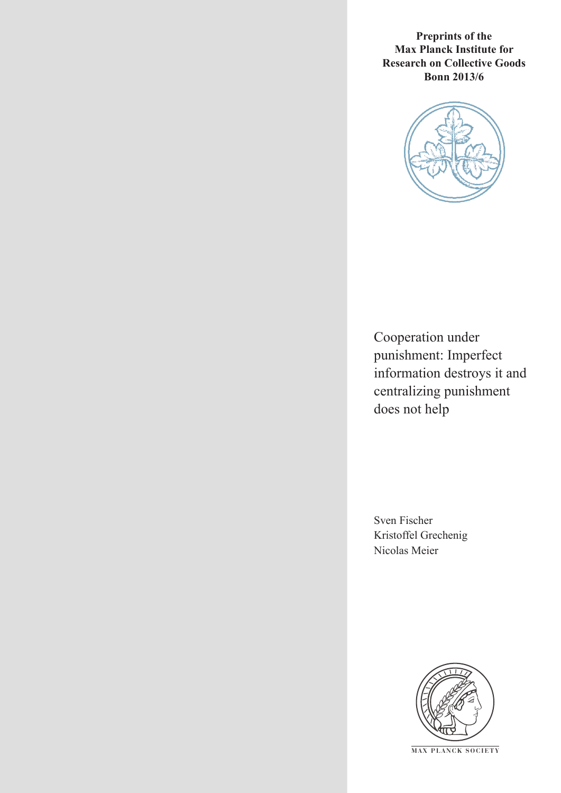**Preprints of the Max Planck Institute for Research on Collective Goods Bonn 2013/6**



Cooperation under punishment: Imperfect information destroys it and centralizing punishment does not help

Sven Fischer Kristoffel Grechenig Nicolas Meier



**M AX PLANCK SOCIETY**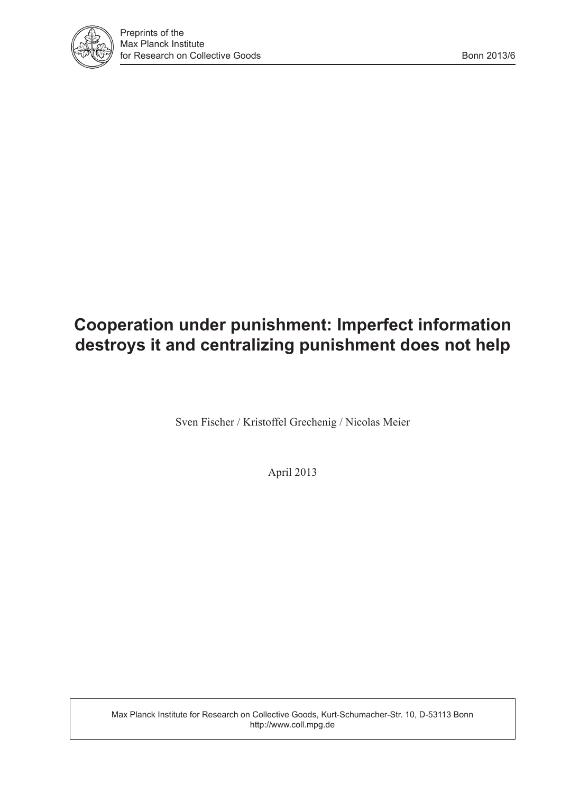

# **Cooperation under punishment: Imperfect information destroys it and centralizing punishment does not help**

Sven Fischer / Kristoffel Grechenig / Nicolas Meier

April 2013

Max Planck Institute for Research on Collective Goods, Kurt-Schumacher-Str. 10, D-53113 Bonn http://www.coll.mpg.de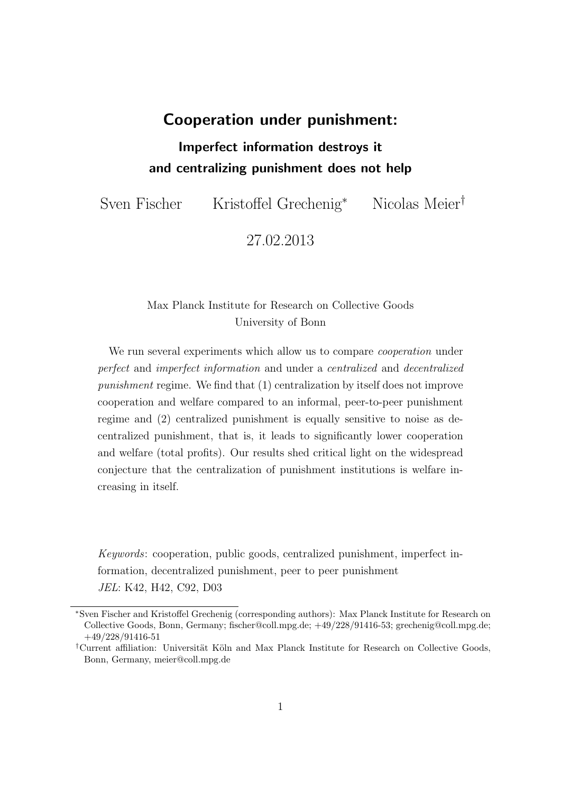## Cooperation under punishment:

## Imperfect information destroys it and centralizing punishment does not help

Sven Fischer Kristoffel Grechenig<sup>∗</sup> Nicolas Meier†

27.02.2013

## Max Planck Institute for Research on Collective Goods University of Bonn

We run several experiments which allow us to compare *cooperation* under perfect and imperfect information and under a centralized and decentralized punishment regime. We find that (1) centralization by itself does not improve cooperation and welfare compared to an informal, peer-to-peer punishment regime and (2) centralized punishment is equally sensitive to noise as decentralized punishment, that is, it leads to significantly lower cooperation and welfare (total profits). Our results shed critical light on the widespread conjecture that the centralization of punishment institutions is welfare increasing in itself.

Keywords: cooperation, public goods, centralized punishment, imperfect information, decentralized punishment, peer to peer punishment JEL: K42, H42, C92, D03

<sup>∗</sup>Sven Fischer and Kristoffel Grechenig (corresponding authors): Max Planck Institute for Research on Collective Goods, Bonn, Germany; fischer@coll.mpg.de; +49/228/91416-53; grechenig@coll.mpg.de; +49/228/91416-51

<sup>&</sup>lt;sup>†</sup>Current affiliation: Universität Köln and Max Planck Institute for Research on Collective Goods, Bonn, Germany, meier@coll.mpg.de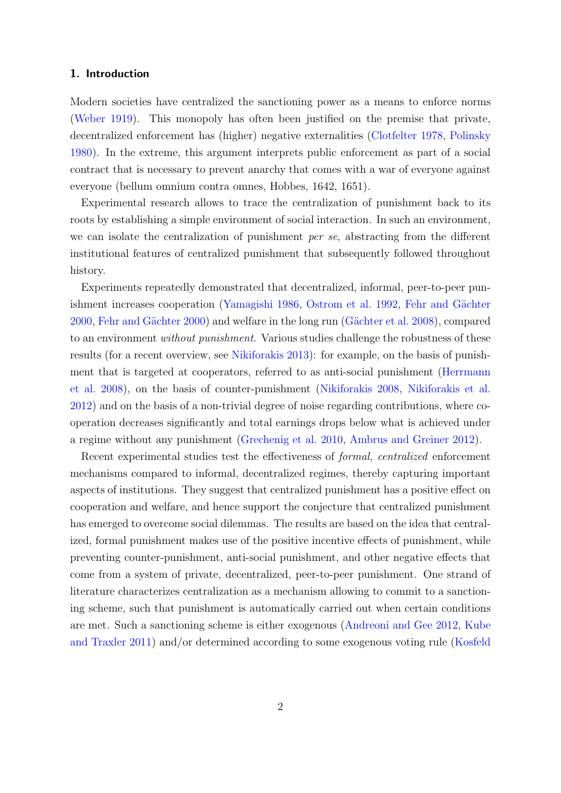### 1. Introduction

Modern societies have centralized the sanctioning power as a means to enforce norms [\(Weber](#page-19-0) [1919\)](#page-19-0). This monopoly has often been justified on the premise that private, decentralized enforcement has (higher) negative externalities [\(Clotfelter](#page-16-0) [1978,](#page-16-0) [Polinsky](#page-18-0) [1980\)](#page-18-0). In the extreme, this argument interprets public enforcement as part of a social contract that is necessary to prevent anarchy that comes with a war of everyone against everyone (bellum omnium contra omnes, Hobbes, 1642, 1651).

Experimental research allows to trace the centralization of punishment back to its roots by establishing a simple environment of social interaction. In such an environment, we can isolate the centralization of punishment per se, abstracting from the different institutional features of centralized punishment that subsequently followed throughout history.

Experiments repeatedly demonstrated that decentralized, informal, peer-to-peer pun-ishment increases cooperation [\(Yamagishi](#page-19-1) [1986,](#page-19-1) [Ostrom et al.](#page-18-1) [1992,](#page-18-1) Fehr and Gächter [2000,](#page-17-0) Fehr and Gächter [2000\)](#page-17-0) and welfare in the long run (Gächter et al. [2008\)](#page-17-1), compared to an environment without punishment. Various studies challenge the robustness of these results (for a recent overview, see [Nikiforakis](#page-18-2) [2013\)](#page-18-2): for example, on the basis of punishment that is targeted at cooperators, referred to as anti-social punishment [\(Herrmann](#page-17-2) [et al.](#page-17-2) [2008\)](#page-17-2), on the basis of counter-punishment [\(Nikiforakis](#page-18-3) [2008,](#page-18-3) [Nikiforakis et al.](#page-18-4) [2012\)](#page-18-4) and on the basis of a non-trivial degree of noise regarding contributions, where cooperation decreases significantly and total earnings drops below what is achieved under a regime without any punishment [\(Grechenig et al.](#page-17-3) [2010,](#page-17-3) [Ambrus and Greiner](#page-16-1) [2012\)](#page-16-1).

Recent experimental studies test the effectiveness of formal, centralized enforcement mechanisms compared to informal, decentralized regimes, thereby capturing important aspects of institutions. They suggest that centralized punishment has a positive effect on cooperation and welfare, and hence support the conjecture that centralized punishment has emerged to overcome social dilemmas. The results are based on the idea that centralized, formal punishment makes use of the positive incentive effects of punishment, while preventing counter-punishment, anti-social punishment, and other negative effects that come from a system of private, decentralized, peer-to-peer punishment. One strand of literature characterizes centralization as a mechanism allowing to commit to a sanctioning scheme, such that punishment is automatically carried out when certain conditions are met. Such a sanctioning scheme is either exogenous [\(Andreoni and Gee](#page-16-2) [2012,](#page-16-2) [Kube](#page-17-4) [and Traxler](#page-17-4) [2011\)](#page-17-4) and/or determined according to some exogenous voting rule [\(Kosfeld](#page-17-5)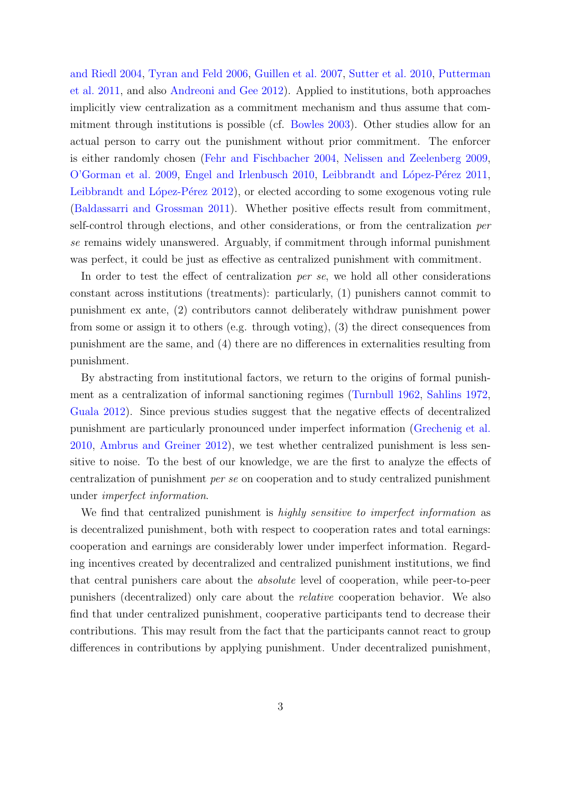[and Riedl](#page-17-5) [2004,](#page-17-5) [Tyran and Feld](#page-19-2) [2006,](#page-19-2) [Guillen et al.](#page-17-6) [2007,](#page-17-6) [Sutter et al.](#page-19-3) [2010,](#page-19-3) [Putterman](#page-18-5) [et al.](#page-18-5) [2011,](#page-18-5) and also [Andreoni and Gee](#page-16-2) [2012\)](#page-16-2). Applied to institutions, both approaches implicitly view centralization as a commitment mechanism and thus assume that commitment through institutions is possible (cf. [Bowles](#page-16-3) [2003\)](#page-16-3). Other studies allow for an actual person to carry out the punishment without prior commitment. The enforcer is either randomly chosen [\(Fehr and Fischbacher](#page-17-7) [2004,](#page-17-7) [Nelissen and Zeelenberg](#page-18-6) [2009,](#page-18-6) [O'Gorman et al.](#page-18-7) [2009,](#page-18-7) [Engel and Irlenbusch](#page-16-4) [2010,](#page-16-4) Leibbrandt and López-Pérez [2011,](#page-18-8) Leibbrandt and López-Pérez [2012\)](#page-18-9), or elected according to some exogenous voting rule [\(Baldassarri and Grossman](#page-16-5) [2011\)](#page-16-5). Whether positive effects result from commitment, self-control through elections, and other considerations, or from the centralization per se remains widely unanswered. Arguably, if commitment through informal punishment was perfect, it could be just as effective as centralized punishment with commitment.

In order to test the effect of centralization per se, we hold all other considerations constant across institutions (treatments): particularly, (1) punishers cannot commit to punishment ex ante, (2) contributors cannot deliberately withdraw punishment power from some or assign it to others (e.g. through voting), (3) the direct consequences from punishment are the same, and (4) there are no differences in externalities resulting from punishment.

By abstracting from institutional factors, we return to the origins of formal punishment as a centralization of informal sanctioning regimes [\(Turnbull](#page-19-4) [1962,](#page-19-4) [Sahlins](#page-19-5) [1972,](#page-19-5) [Guala](#page-17-8) [2012\)](#page-17-8). Since previous studies suggest that the negative effects of decentralized punishment are particularly pronounced under imperfect information [\(Grechenig et al.](#page-17-3) [2010,](#page-17-3) [Ambrus and Greiner](#page-16-1) [2012\)](#page-16-1), we test whether centralized punishment is less sensitive to noise. To the best of our knowledge, we are the first to analyze the effects of centralization of punishment per se on cooperation and to study centralized punishment under imperfect information.

We find that centralized punishment is *highly sensitive to imperfect information* as is decentralized punishment, both with respect to cooperation rates and total earnings: cooperation and earnings are considerably lower under imperfect information. Regarding incentives created by decentralized and centralized punishment institutions, we find that central punishers care about the absolute level of cooperation, while peer-to-peer punishers (decentralized) only care about the relative cooperation behavior. We also find that under centralized punishment, cooperative participants tend to decrease their contributions. This may result from the fact that the participants cannot react to group differences in contributions by applying punishment. Under decentralized punishment,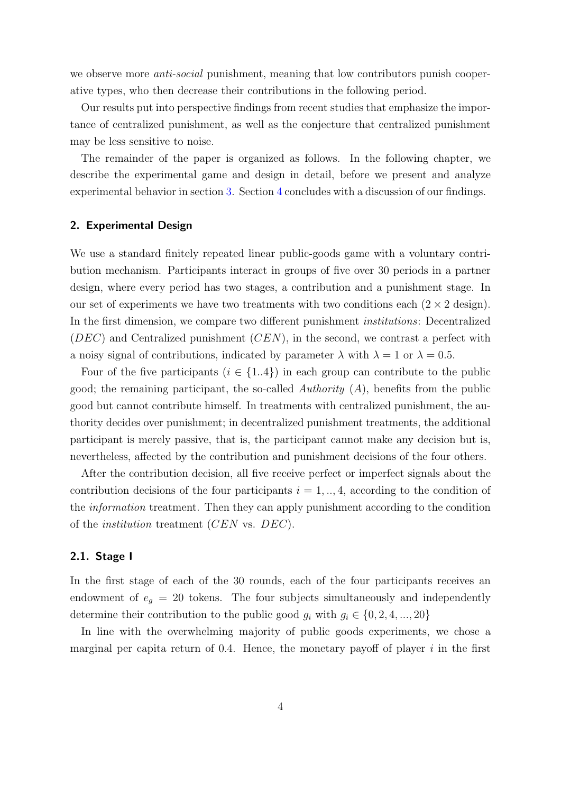we observe more *anti-social* punishment, meaning that low contributors punish cooperative types, who then decrease their contributions in the following period.

Our results put into perspective findings from recent studies that emphasize the importance of centralized punishment, as well as the conjecture that centralized punishment may be less sensitive to noise.

The remainder of the paper is organized as follows. In the following chapter, we describe the experimental game and design in detail, before we present and analyze experimental behavior in section [3.](#page-8-0) Section [4](#page-14-0) concludes with a discussion of our findings.

## 2. Experimental Design

We use a standard finitely repeated linear public-goods game with a voluntary contribution mechanism. Participants interact in groups of five over 30 periods in a partner design, where every period has two stages, a contribution and a punishment stage. In our set of experiments we have two treatments with two conditions each  $(2 \times 2 \text{ design})$ . In the first dimension, we compare two different punishment *institutions*: Decentralized  $(DEC)$  and Centralized punishment  $(CEN)$ , in the second, we contrast a perfect with a noisy signal of contributions, indicated by parameter  $\lambda$  with  $\lambda = 1$  or  $\lambda = 0.5$ .

Four of the five participants  $(i \in \{1..4\})$  in each group can contribute to the public good; the remaining participant, the so-called Authority  $(A)$ , benefits from the public good but cannot contribute himself. In treatments with centralized punishment, the authority decides over punishment; in decentralized punishment treatments, the additional participant is merely passive, that is, the participant cannot make any decision but is, nevertheless, affected by the contribution and punishment decisions of the four others.

After the contribution decision, all five receive perfect or imperfect signals about the contribution decisions of the four participants  $i = 1, \ldots, 4$ , according to the condition of the information treatment. Then they can apply punishment according to the condition of the institution treatment (CEN vs. DEC).

## 2.1. Stage I

In the first stage of each of the 30 rounds, each of the four participants receives an endowment of  $e_g = 20$  tokens. The four subjects simultaneously and independently determine their contribution to the public good  $g_i$  with  $g_i \in \{0, 2, 4, ..., 20\}$ 

In line with the overwhelming majority of public goods experiments, we chose a marginal per capita return of 0.4. Hence, the monetary payoff of player  $i$  in the first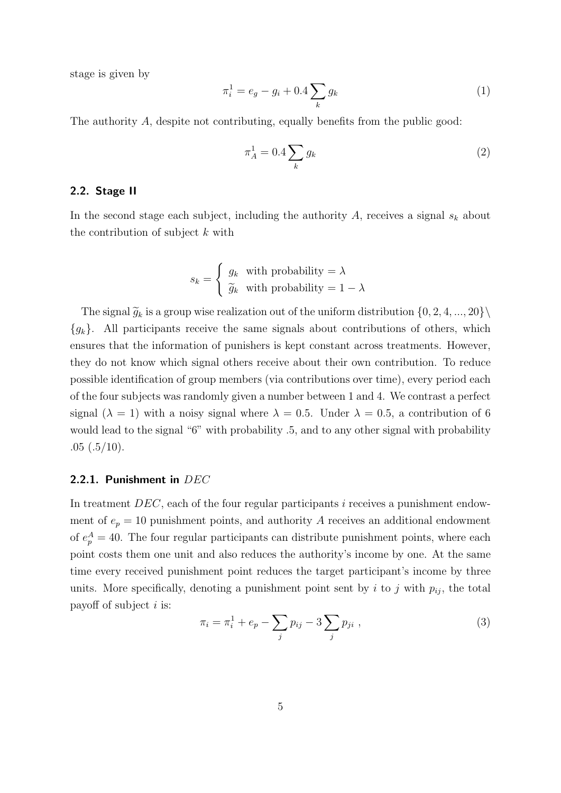stage is given by

$$
\pi_i^1 = e_g - g_i + 0.4 \sum_k g_k \tag{1}
$$

The authority A, despite not contributing, equally benefits from the public good:

$$
\pi_A^1 = 0.4 \sum_k g_k \tag{2}
$$

## 2.2. Stage II

In the second stage each subject, including the authority  $A$ , receives a signal  $s_k$  about the contribution of subject k with

$$
s_k = \begin{cases} g_k & \text{with probability} = \lambda \\ \tilde{g}_k & \text{with probability} = 1 - \lambda \end{cases}
$$

The signal  $\widetilde{g}_k$  is a group wise realization out of the uniform distribution  $\{0, 2, 4, ..., 20\}\$  ${g_k}$ . All participants receive the same signals about contributions of others, which ensures that the information of punishers is kept constant across treatments. However, they do not know which signal others receive about their own contribution. To reduce possible identification of group members (via contributions over time), every period each of the four subjects was randomly given a number between 1 and 4. We contrast a perfect signal ( $\lambda = 1$ ) with a noisy signal where  $\lambda = 0.5$ . Under  $\lambda = 0.5$ , a contribution of 6 would lead to the signal "6" with probability .5, and to any other signal with probability  $.05$   $(.5/10)$ .

## 2.2.1. Punishment in DEC

In treatment  $DEC$ , each of the four regular participants i receives a punishment endowment of  $e_p = 10$  punishment points, and authority A receives an additional endowment of  $e_p^A = 40$ . The four regular participants can distribute punishment points, where each point costs them one unit and also reduces the authority's income by one. At the same time every received punishment point reduces the target participant's income by three units. More specifically, denoting a punishment point sent by i to j with  $p_{ij}$ , the total payoff of subject  $i$  is:

$$
\pi_i = \pi_i^1 + e_p - \sum_j p_{ij} - 3 \sum_j p_{ji} \tag{3}
$$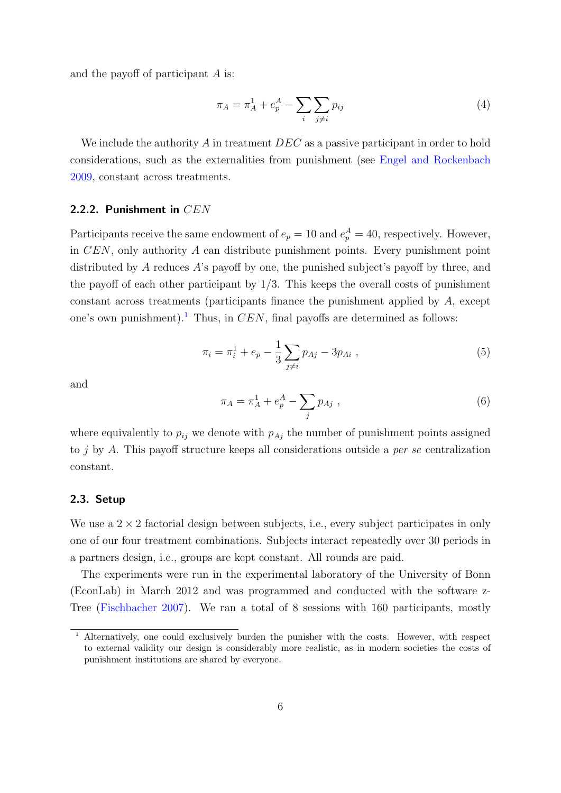and the payoff of participant A is:

$$
\pi_A = \pi_A^1 + e_p^A - \sum_i \sum_{j \neq i} p_{ij} \tag{4}
$$

We include the authority  $\ddot{A}$  in treatment  $DEC$  as a passive participant in order to hold considerations, such as the externalities from punishment (see [Engel and Rockenbach](#page-17-9) [2009,](#page-17-9) constant across treatments.

### 2.2.2. Punishment in CEN

Participants receive the same endowment of  $e_p = 10$  and  $e_p^A = 40$ , respectively. However, in CEN, only authority A can distribute punishment points. Every punishment point distributed by A reduces A's payoff by one, the punished subject's payoff by three, and the payoff of each other participant by  $1/3$ . This keeps the overall costs of punishment constant across treatments (participants finance the punishment applied by A, except one's own punishment).<sup>[1](#page-7-0)</sup> Thus, in  $CEN$ , final payoffs are determined as follows:

$$
\pi_i = \pi_i^1 + e_p - \frac{1}{3} \sum_{j \neq i} p_{Aj} - 3p_{Ai} , \qquad (5)
$$

and

$$
\pi_A = \pi_A^1 + e_p^A - \sum_j p_{Aj} \tag{6}
$$

where equivalently to  $p_{ij}$  we denote with  $p_{Aj}$  the number of punishment points assigned to j by A. This payoff structure keeps all considerations outside a per se centralization constant.

## 2.3. Setup

We use a  $2 \times 2$  factorial design between subjects, i.e., every subject participates in only one of our four treatment combinations. Subjects interact repeatedly over 30 periods in a partners design, i.e., groups are kept constant. All rounds are paid.

The experiments were run in the experimental laboratory of the University of Bonn (EconLab) in March 2012 and was programmed and conducted with the software z-Tree [\(Fischbacher](#page-17-10) [2007\)](#page-17-10). We ran a total of 8 sessions with 160 participants, mostly

<span id="page-7-0"></span><sup>&</sup>lt;sup>1</sup> Alternatively, one could exclusively burden the punisher with the costs. However, with respect to external validity our design is considerably more realistic, as in modern societies the costs of punishment institutions are shared by everyone.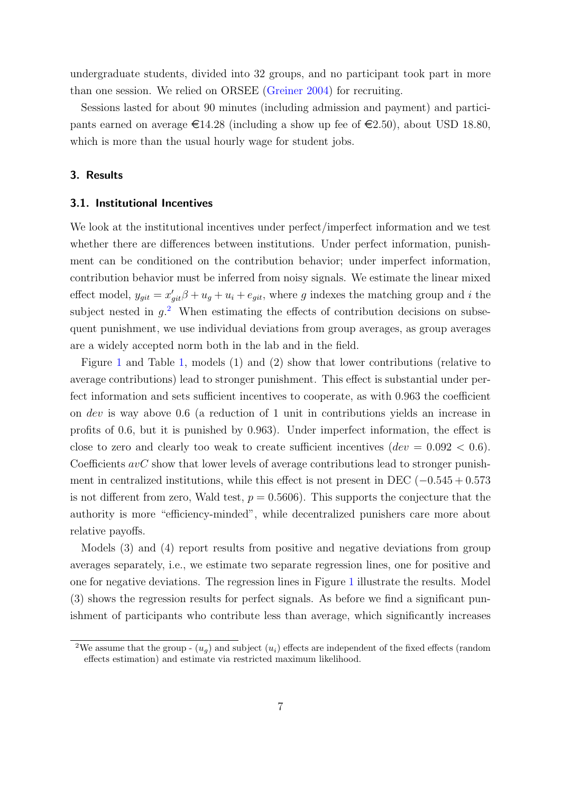undergraduate students, divided into 32 groups, and no participant took part in more than one session. We relied on ORSEE [\(Greiner](#page-17-11) [2004\)](#page-17-11) for recruiting.

Sessions lasted for about 90 minutes (including admission and payment) and participants earned on average  $\epsilon$ 14.28 (including a show up fee of  $\epsilon$ 2.50), about USD 18.80, which is more than the usual hourly wage for student jobs.

## <span id="page-8-0"></span>3. Results

### <span id="page-8-2"></span>3.1. Institutional Incentives

We look at the institutional incentives under perfect/imperfect information and we test whether there are differences between institutions. Under perfect information, punishment can be conditioned on the contribution behavior; under imperfect information, contribution behavior must be inferred from noisy signals. We estimate the linear mixed effect model,  $y_{git} = x'_{git}\beta + u_g + u_i + e_{git}$ , where g indexes the matching group and i the subject nested in  $g<sup>2</sup>$  $g<sup>2</sup>$  $g<sup>2</sup>$ . When estimating the effects of contribution decisions on subsequent punishment, we use individual deviations from group averages, as group averages are a widely accepted norm both in the lab and in the field.

Figure [1](#page-11-0) and Table [1,](#page-10-0) models (1) and (2) show that lower contributions (relative to average contributions) lead to stronger punishment. This effect is substantial under perfect information and sets sufficient incentives to cooperate, as with 0.963 the coefficient on dev is way above 0.6 (a reduction of 1 unit in contributions yields an increase in profits of 0.6, but it is punished by 0.963). Under imperfect information, the effect is close to zero and clearly too weak to create sufficient incentives  $(dev = 0.092 < 0.6)$ . Coefficients  $avC$  show that lower levels of average contributions lead to stronger punishment in centralized institutions, while this effect is not present in DEC  $(-0.545 + 0.573)$ is not different from zero, Wald test,  $p = 0.5606$ ). This supports the conjecture that the authority is more "efficiency-minded", while decentralized punishers care more about relative payoffs.

Models (3) and (4) report results from positive and negative deviations from group averages separately, i.e., we estimate two separate regression lines, one for positive and one for negative deviations. The regression lines in Figure [1](#page-11-0) illustrate the results. Model (3) shows the regression results for perfect signals. As before we find a significant punishment of participants who contribute less than average, which significantly increases

<span id="page-8-1"></span><sup>&</sup>lt;sup>2</sup>We assume that the group -  $(u_q)$  and subject  $(u_i)$  effects are independent of the fixed effects (random effects estimation) and estimate via restricted maximum likelihood.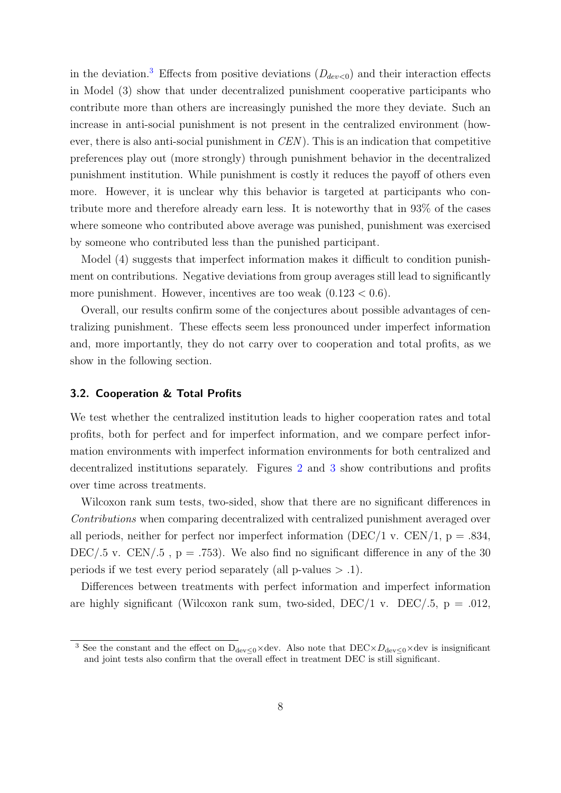in the deviation.<sup>[3](#page-9-0)</sup> Effects from positive deviations  $(D_{dev<0})$  and their interaction effects in Model (3) show that under decentralized punishment cooperative participants who contribute more than others are increasingly punished the more they deviate. Such an increase in anti-social punishment is not present in the centralized environment (however, there is also anti-social punishment in  $CEN$ ). This is an indication that competitive preferences play out (more strongly) through punishment behavior in the decentralized punishment institution. While punishment is costly it reduces the payoff of others even more. However, it is unclear why this behavior is targeted at participants who contribute more and therefore already earn less. It is noteworthy that in 93% of the cases where someone who contributed above average was punished, punishment was exercised by someone who contributed less than the punished participant.

Model (4) suggests that imperfect information makes it difficult to condition punishment on contributions. Negative deviations from group averages still lead to significantly more punishment. However, incentives are too weak  $(0.123 < 0.6)$ .

Overall, our results confirm some of the conjectures about possible advantages of centralizing punishment. These effects seem less pronounced under imperfect information and, more importantly, they do not carry over to cooperation and total profits, as we show in the following section.

### 3.2. Cooperation & Total Profits

We test whether the centralized institution leads to higher cooperation rates and total profits, both for perfect and for imperfect information, and we compare perfect information environments with imperfect information environments for both centralized and decentralized institutions separately. Figures [2](#page-12-0) and [3](#page-12-1) show contributions and profits over time across treatments.

Wilcoxon rank sum tests, two-sided, show that there are no significant differences in Contributions when comparing decentralized with centralized punishment averaged over all periods, neither for perfect nor imperfect information (DEC/1 v. CEN/1,  $p = .834$ , DEC/.5 v. CEN/.5 ,  $p = .753$ ). We also find no significant difference in any of the 30 periods if we test every period separately (all p-values  $> .1$ ).

Differences between treatments with perfect information and imperfect information are highly significant (Wilcoxon rank sum, two-sided, DEC/1 v. DEC/.5,  $p = .012$ ,

<span id="page-9-0"></span><sup>&</sup>lt;sup>3</sup> See the constant and the effect on D<sub>dev≤0</sub>×dev. Also note that DEC×D<sub>dev≤0</sub>×dev is insignificant and joint tests also confirm that the overall effect in treatment DEC is still significant.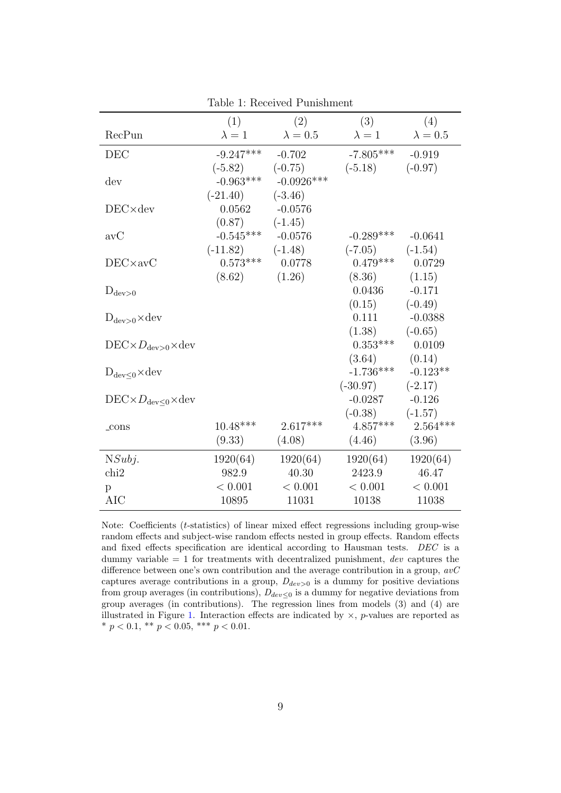<span id="page-10-0"></span>

|                                                 | (1)           | (2)             | (3)           | (4)             |
|-------------------------------------------------|---------------|-----------------|---------------|-----------------|
| RecPun                                          | $\lambda = 1$ | $\lambda = 0.5$ | $\lambda = 1$ | $\lambda = 0.5$ |
| DEC                                             | $-9.247***$   | $-0.702$        | $-7.805***$   | $-0.919$        |
|                                                 | $(-5.82)$     | $(-0.75)$       | $(-5.18)$     | $(-0.97)$       |
| dev                                             | $-0.963***$   | $-0.0926***$    |               |                 |
|                                                 | $(-21.40)$    | $(-3.46)$       |               |                 |
| $DEC \times dev$                                | 0.0562        | $-0.0576$       |               |                 |
|                                                 | (0.87)        | $(-1.45)$       |               |                 |
| avC                                             | $-0.545***$   | $-0.0576$       | $-0.289***$   | $-0.0641$       |
|                                                 | $(-11.82)$    | $(-1.48)$       | $(-7.05)$     | $(-1.54)$       |
| $DEC \times aVC$                                | $0.573***$    | 0.0778          | $0.479***$    | 0.0729          |
|                                                 | (8.62)        | (1.26)          | (8.36)        | (1.15)          |
| $D_{\text{dev}>0}$                              |               |                 | 0.0436        | $-0.171$        |
|                                                 |               |                 | (0.15)        | $(-0.49)$       |
| $D_{\text{dev}>0} \times \text{dev}$            |               |                 | 0.111         | $-0.0388$       |
|                                                 |               |                 | (1.38)        | $(-0.65)$       |
| $DEC \times D_{\text{dev}>0} \times \text{dev}$ |               |                 | $0.353***$    | 0.0109          |
|                                                 |               |                 | (3.64)        | (0.14)          |
| $D_{\text{dev}<0} \times \text{dev}$            |               |                 | $-1.736***$   | $-0.123**$      |
|                                                 |               |                 | $(-30.97)$    | $(-2.17)$       |
| $DEC \times D_{\text{dev}<0} \times \text{dev}$ |               |                 | $-0.0287$     | $-0.126$        |
|                                                 |               |                 | $(-0.38)$     | $(-1.57)$       |
| $_{\rm-cons}$                                   | $10.48***$    | $2.617***$      | $4.857***$    | $2.564***$      |
|                                                 | (9.33)        | (4.08)          | (4.46)        | (3.96)          |
| NSubj.                                          | 1920(64)      | 1920(64)        | 1920(64)      | 1920(64)        |
| chi <sub>2</sub>                                | 982.9         | 40.30           | 2423.9        | 46.47           |
| p                                               | < 0.001       | < 0.001         | < 0.001       | < 0.001         |
| AIC                                             | 10895         | 11031           | 10138         | 11038           |

Table 1: Received Punishment

Note: Coefficients (t-statistics) of linear mixed effect regressions including group-wise random effects and subject-wise random effects nested in group effects. Random effects and fixed effects specification are identical according to Hausman tests. DEC is a dummy variable  $= 1$  for treatments with decentralized punishment, dev captures the difference between one's own contribution and the average contribution in a group,  $avC$ captures average contributions in a group,  $D_{dev>0}$  is a dummy for positive deviations from group averages (in contributions),  $D_{dev\leq 0}$  is a dummy for negative deviations from group averages (in contributions). The regression lines from models (3) and (4) are illustrated in Figure [1.](#page-11-0) Interaction effects are indicated by  $\times$ , p-values are reported as \*  $p < 0.1$ , \*\*  $p < 0.05$ , \*\*\*  $p < 0.01$ .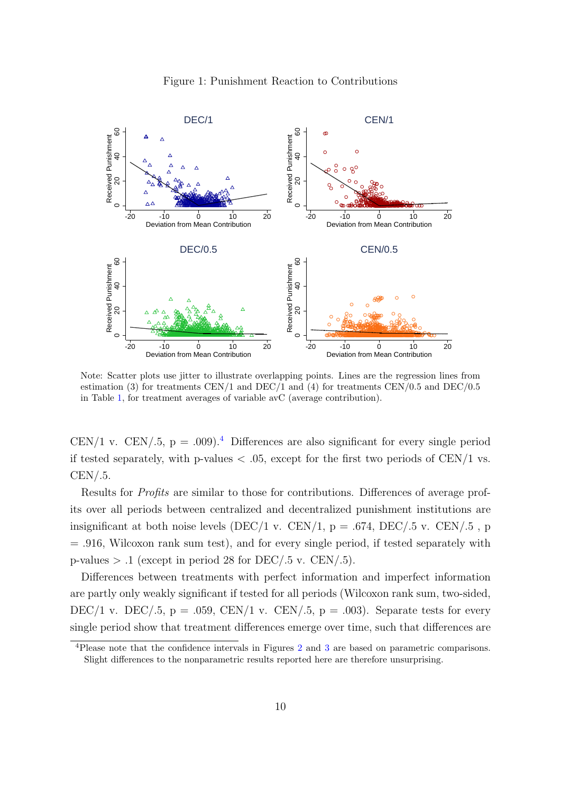<span id="page-11-0"></span>

Figure 1: Punishment Reaction to Contributions

Note: Scatter plots use jitter to illustrate overlapping points. Lines are the regression lines from estimation (3) for treatments CEN/1 and DEC/1 and (4) for treatments CEN/0.5 and DEC/0.5 in Table [1,](#page-10-0) for treatment averages of variable avC (average contribution).

CEN/1 v. CEN/.5,  $p = .009$ .<sup>[4](#page-11-1)</sup> Differences are also significant for every single period if tested separately, with p-values  $\langle .05 \rangle$ , except for the first two periods of CEN/1 vs.  $CEN/.5.$ 

Results for Profits are similar to those for contributions. Differences of average profits over all periods between centralized and decentralized punishment institutions are insignificant at both noise levels (DEC/1 v. CEN/1,  $p = .674$ , DEC/.5 v. CEN/.5, p = .916, Wilcoxon rank sum test), and for every single period, if tested separately with p-values  $> .1$  (except in period 28 for DEC/.5 v. CEN/.5).

Differences between treatments with perfect information and imperfect information are partly only weakly significant if tested for all periods (Wilcoxon rank sum, two-sided, DEC/1 v. DEC/.5,  $p = .059$ , CEN/1 v. CEN/.5,  $p = .003$ ). Separate tests for every single period show that treatment differences emerge over time, such that differences are

<span id="page-11-1"></span><sup>4</sup>Please note that the confidence intervals in Figures [2](#page-12-0) and [3](#page-12-1) are based on parametric comparisons. Slight differences to the nonparametric results reported here are therefore unsurprising.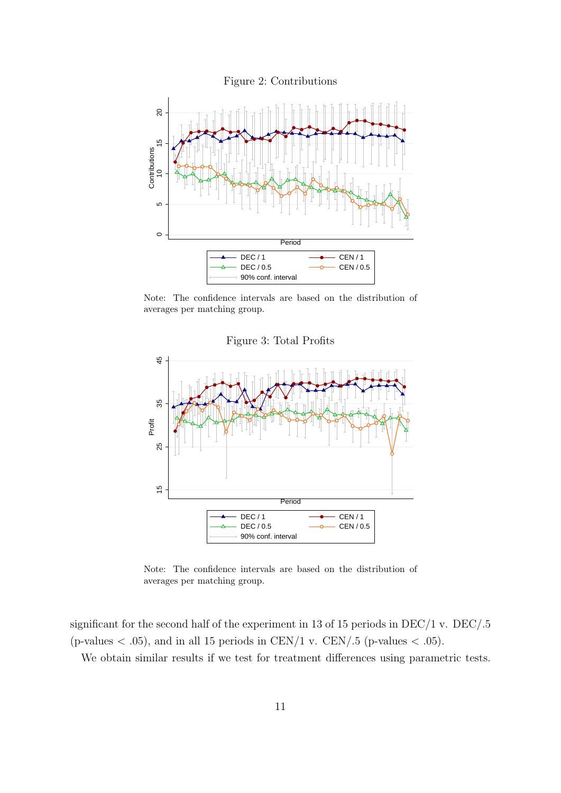<span id="page-12-0"></span>

<span id="page-12-1"></span>Note: The confidence intervals are based on the distribution of averages per matching group.

<sup>15</sup> <sup>25</sup> <sup>35</sup> <sup>45</sup> Profit **Period Period**  $\overline{\bullet}$  CEN/1  $\overline{\bullet}$  CEN/1  $\overline{\phantom{a}}$ DEC / 0.5  $\longrightarrow$  CEN / 0.5 | 90% conf. interval

Figure 3: Total Profits

Note: The confidence intervals are based on the distribution of averages per matching group.

significant for the second half of the experiment in 13 of 15 periods in DEC/1 v. DEC/.5 (p-values  $\langle .05 \rangle$ , and in all 15 periods in CEN/1 v. CEN/.5 (p-values  $\langle .05 \rangle$ .

We obtain similar results if we test for treatment differences using parametric tests.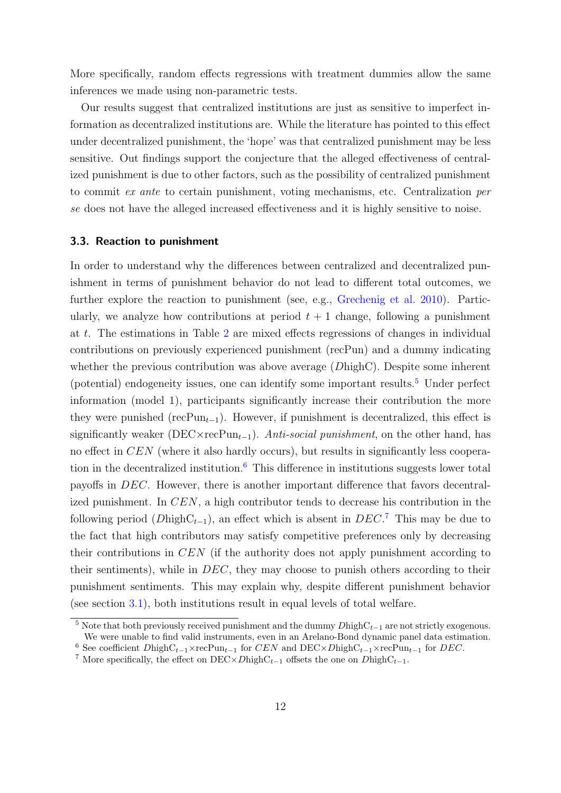More specifically, random effects regressions with treatment dummies allow the same inferences we made using non-parametric tests.

Our results suggest that centralized institutions are just as sensitive to imperfect information as decentralized institutions are. While the literature has pointed to this effect under decentralized punishment, the 'hope' was that centralized punishment may be less sensitive. Out findings support the conjecture that the alleged effectiveness of centralized punishment is due to other factors, such as the possibility of centralized punishment to commit ex ante to certain punishment, voting mechanisms, etc. Centralization per se does not have the alleged increased effectiveness and it is highly sensitive to noise.

## 3.3. Reaction to punishment

In order to understand why the differences between centralized and decentralized punishment in terms of punishment behavior do not lead to different total outcomes, we further explore the reaction to punishment (see, e.g., [Grechenig et al.](#page-17-3) [2010\)](#page-17-3). Particularly, we analyze how contributions at period  $t + 1$  change, following a punishment at t. The estimations in Table [2](#page-14-1) are mixed effects regressions of changes in individual contributions on previously experienced punishment (recPun) and a dummy indicating whether the previous contribution was above average (DhighC). Despite some inherent (potential) endogeneity issues, one can identify some important results. $5$  Under perfect information (model 1), participants significantly increase their contribution the more they were punished (recPun<sub>t−1</sub>). However, if punishment is decentralized, this effect is significantly weaker (DEC×recPun<sub>t−1</sub>). Anti-social punishment, on the other hand, has no effect in CEN (where it also hardly occurs), but results in significantly less cooperation in the decentralized institution. $6$  This difference in institutions suggests lower total payoffs in DEC. However, there is another important difference that favors decentralized punishment. In CEN, a high contributor tends to decrease his contribution in the following period ( $D\text{highC}_{t-1}$ ), an effect which is absent in  $DEC^{\text{T}}$ . This may be due to the fact that high contributors may satisfy competitive preferences only by decreasing their contributions in CEN (if the authority does not apply punishment according to their sentiments), while in DEC, they may choose to punish others according to their punishment sentiments. This may explain why, despite different punishment behavior (see section [3.1\)](#page-8-2), both institutions result in equal levels of total welfare.

<span id="page-13-0"></span><sup>&</sup>lt;sup>5</sup> Note that both previously received punishment and the dummy  $D$ highC<sub>t−1</sub> are not strictly exogenous. We were unable to find valid instruments, even in an Arelano-Bond dynamic panel data estimation.

<span id="page-13-1"></span><sup>&</sup>lt;sup>6</sup> See coefficient  $D$ high $C_{t-1} \times \text{recPun}_{t-1}$  for  $CEN$  and  $DEC \times D$ high $C_{t-1} \times \text{recPun}_{t-1}$  for  $DEC$ .

<span id="page-13-2"></span><sup>&</sup>lt;sup>7</sup> More specifically, the effect on DEC×DhighC<sub>t−1</sub> offsets the one on DhighC<sub>t−1</sub>.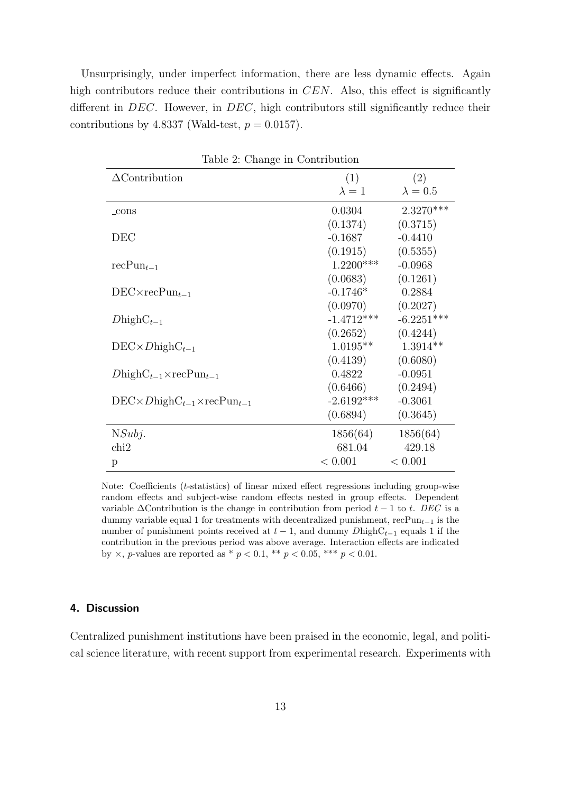Unsurprisingly, under imperfect information, there are less dynamic effects. Again high contributors reduce their contributions in CEN. Also, this effect is significantly different in DEC. However, in DEC, high contributors still significantly reduce their contributions by 4.8337 (Wald-test,  $p = 0.0157$ ).

<span id="page-14-1"></span>

| $\frac{1}{2}$ . Onalige in Contribution         |               |                 |  |  |  |  |
|-------------------------------------------------|---------------|-----------------|--|--|--|--|
| $\Delta$ Contribution                           | (1)           | (2)             |  |  |  |  |
|                                                 | $\lambda = 1$ | $\lambda = 0.5$ |  |  |  |  |
| _cons                                           | 0.0304        | $2.3270***$     |  |  |  |  |
|                                                 | (0.1374)      | (0.3715)        |  |  |  |  |
| DEC                                             | $-0.1687$     | $-0.4410$       |  |  |  |  |
|                                                 | (0.1915)      | (0.5355)        |  |  |  |  |
| $recPun_{t-1}$                                  | $1.2200***$   | $-0.0968$       |  |  |  |  |
|                                                 | (0.0683)      | (0.1261)        |  |  |  |  |
| $DEC \times recPun_{t-1}$                       | $-0.1746*$    | 0.2884          |  |  |  |  |
|                                                 | (0.0970)      | (0.2027)        |  |  |  |  |
| $D$ high $C_{t-1}$                              | $-1.4712***$  | $-6.2251***$    |  |  |  |  |
|                                                 | (0.2652)      | (0.4244)        |  |  |  |  |
| $DEC \times DhighC_{t-1}$                       | $1.0195**$    | $1.3914**$      |  |  |  |  |
|                                                 | (0.4139)      | (0.6080)        |  |  |  |  |
| $D\text{highC}_{t-1}\times \text{recPun}_{t-1}$ | 0.4822        | $-0.0951$       |  |  |  |  |
|                                                 | (0.6466)      | (0.2494)        |  |  |  |  |
| $DEC \times DhighC_{t-1} \times recPun_{t-1}$   | $-2.6192***$  | $-0.3061$       |  |  |  |  |
|                                                 | (0.6894)      | (0.3645)        |  |  |  |  |
| NSubj.                                          | 1856(64)      | 1856(64)        |  |  |  |  |
| chi2                                            | 681.04        | 429.18          |  |  |  |  |
| p                                               | < 0.001       | < 0.001         |  |  |  |  |

Table 2: Change in Contribution

Note: Coefficients (t-statistics) of linear mixed effect regressions including group-wise random effects and subject-wise random effects nested in group effects. Dependent variable  $\Delta$ Contribution is the change in contribution from period  $t - 1$  to t. DEC is a dummy variable equal 1 for treatments with decentralized punishment, recPun<sub>t−1</sub> is the number of punishment points received at  $t-1$ , and dummy DhighC<sub>t−1</sub> equals 1 if the contribution in the previous period was above average. Interaction effects are indicated by  $\times$ , *p*-values are reported as \*  $p < 0.1$ , \*\*  $p < 0.05$ , \*\*\*  $p < 0.01$ .

## <span id="page-14-0"></span>4. Discussion

Centralized punishment institutions have been praised in the economic, legal, and political science literature, with recent support from experimental research. Experiments with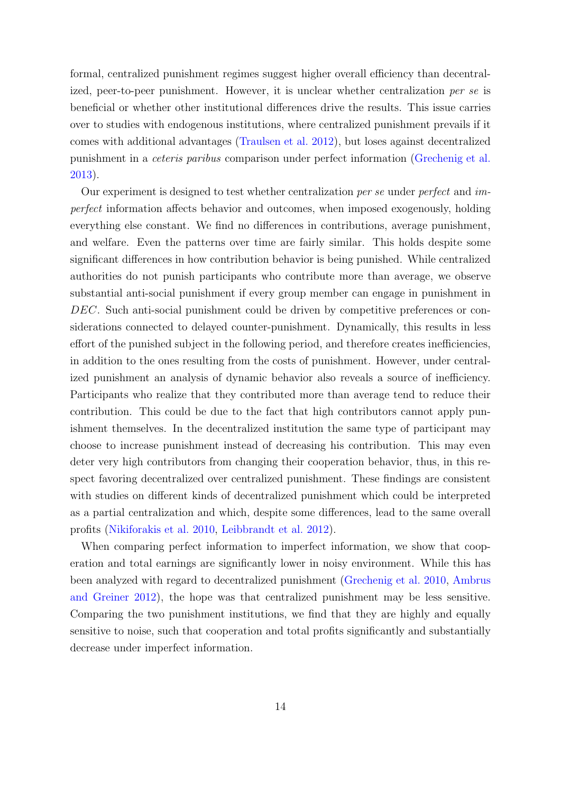formal, centralized punishment regimes suggest higher overall efficiency than decentralized, peer-to-peer punishment. However, it is unclear whether centralization per se is beneficial or whether other institutional differences drive the results. This issue carries over to studies with endogenous institutions, where centralized punishment prevails if it comes with additional advantages [\(Traulsen et al.](#page-19-6) [2012\)](#page-19-6), but loses against decentralized punishment in a ceteris paribus comparison under perfect information [\(Grechenig et al.](#page-17-12) [2013\)](#page-17-12).

Our experiment is designed to test whether centralization per se under perfect and imperfect information affects behavior and outcomes, when imposed exogenously, holding everything else constant. We find no differences in contributions, average punishment, and welfare. Even the patterns over time are fairly similar. This holds despite some significant differences in how contribution behavior is being punished. While centralized authorities do not punish participants who contribute more than average, we observe substantial anti-social punishment if every group member can engage in punishment in DEC. Such anti-social punishment could be driven by competitive preferences or considerations connected to delayed counter-punishment. Dynamically, this results in less effort of the punished subject in the following period, and therefore creates inefficiencies, in addition to the ones resulting from the costs of punishment. However, under centralized punishment an analysis of dynamic behavior also reveals a source of inefficiency. Participants who realize that they contributed more than average tend to reduce their contribution. This could be due to the fact that high contributors cannot apply punishment themselves. In the decentralized institution the same type of participant may choose to increase punishment instead of decreasing his contribution. This may even deter very high contributors from changing their cooperation behavior, thus, in this respect favoring decentralized over centralized punishment. These findings are consistent with studies on different kinds of decentralized punishment which could be interpreted as a partial centralization and which, despite some differences, lead to the same overall profits [\(Nikiforakis et al.](#page-18-10) [2010,](#page-18-10) [Leibbrandt et al.](#page-18-11) [2012\)](#page-18-11).

When comparing perfect information to imperfect information, we show that cooperation and total earnings are significantly lower in noisy environment. While this has been analyzed with regard to decentralized punishment [\(Grechenig et al.](#page-17-3) [2010,](#page-17-3) [Ambrus](#page-16-1) [and Greiner](#page-16-1) [2012\)](#page-16-1), the hope was that centralized punishment may be less sensitive. Comparing the two punishment institutions, we find that they are highly and equally sensitive to noise, such that cooperation and total profits significantly and substantially decrease under imperfect information.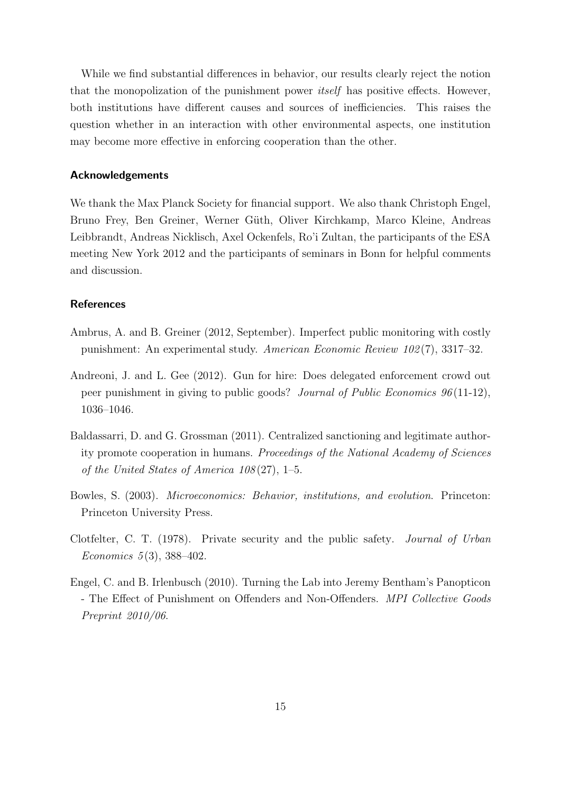While we find substantial differences in behavior, our results clearly reject the notion that the monopolization of the punishment power itself has positive effects. However, both institutions have different causes and sources of inefficiencies. This raises the question whether in an interaction with other environmental aspects, one institution may become more effective in enforcing cooperation than the other.

### Acknowledgements

We thank the Max Planck Society for financial support. We also thank Christoph Engel, Bruno Frey, Ben Greiner, Werner Güth, Oliver Kirchkamp, Marco Kleine, Andreas Leibbrandt, Andreas Nicklisch, Axel Ockenfels, Ro'i Zultan, the participants of the ESA meeting New York 2012 and the participants of seminars in Bonn for helpful comments and discussion.

## References

- <span id="page-16-1"></span>Ambrus, A. and B. Greiner (2012, September). Imperfect public monitoring with costly punishment: An experimental study. American Economic Review 102 (7), 3317–32.
- <span id="page-16-2"></span>Andreoni, J. and L. Gee (2012). Gun for hire: Does delegated enforcement crowd out peer punishment in giving to public goods? Journal of Public Economics 96 (11-12), 1036–1046.
- <span id="page-16-5"></span>Baldassarri, D. and G. Grossman (2011). Centralized sanctioning and legitimate authority promote cooperation in humans. Proceedings of the National Academy of Sciences of the United States of America  $108(27)$ , 1–5.
- <span id="page-16-3"></span>Bowles, S. (2003). Microeconomics: Behavior, institutions, and evolution. Princeton: Princeton University Press.
- <span id="page-16-0"></span>Clotfelter, C. T. (1978). Private security and the public safety. Journal of Urban Economics  $5(3)$ , 388-402.
- <span id="page-16-4"></span>Engel, C. and B. Irlenbusch (2010). Turning the Lab into Jeremy Bentham's Panopticon - The Effect of Punishment on Offenders and Non-Offenders. MPI Collective Goods Preprint 2010/06.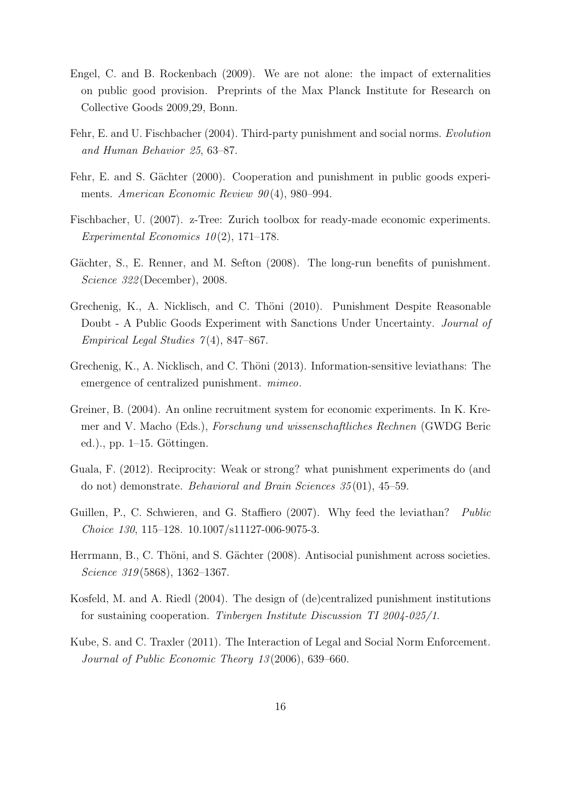- <span id="page-17-9"></span>Engel, C. and B. Rockenbach (2009). We are not alone: the impact of externalities on public good provision. Preprints of the Max Planck Institute for Research on Collective Goods 2009,29, Bonn.
- <span id="page-17-7"></span>Fehr, E. and U. Fischbacher (2004). Third-party punishment and social norms. Evolution and Human Behavior 25, 63–87.
- <span id="page-17-0"></span>Fehr, E. and S. Gächter (2000). Cooperation and punishment in public goods experiments. American Economic Review 90(4), 980–994.
- <span id="page-17-10"></span>Fischbacher, U. (2007). z-Tree: Zurich toolbox for ready-made economic experiments. Experimental Economics  $10(2)$ , 171–178.
- <span id="page-17-1"></span>Gächter, S., E. Renner, and M. Sefton (2008). The long-run benefits of punishment. Science 322 (December), 2008.
- <span id="page-17-3"></span>Grechenig, K., A. Nicklisch, and C. Thöni (2010). Punishment Despite Reasonable Doubt - A Public Goods Experiment with Sanctions Under Uncertainty. Journal of Empirical Legal Studies  $7(4)$ , 847–867.
- <span id="page-17-12"></span>Grechenig, K., A. Nicklisch, and C. Thöni (2013). Information-sensitive leviathans: The emergence of centralized punishment. mimeo.
- <span id="page-17-11"></span>Greiner, B. (2004). An online recruitment system for economic experiments. In K. Kremer and V. Macho (Eds.), Forschung und wissenschaftliches Rechnen (GWDG Beric ed.)., pp.  $1-15$ . Göttingen.
- <span id="page-17-8"></span>Guala, F. (2012). Reciprocity: Weak or strong? what punishment experiments do (and do not) demonstrate. Behavioral and Brain Sciences 35 (01), 45–59.
- <span id="page-17-6"></span>Guillen, P., C. Schwieren, and G. Staffiero (2007). Why feed the leviathan? Public Choice 130, 115–128. 10.1007/s11127-006-9075-3.
- <span id="page-17-2"></span>Herrmann, B., C. Thöni, and S. Gächter (2008). Antisocial punishment across societies. Science 319(5868), 1362–1367.
- <span id="page-17-5"></span>Kosfeld, M. and A. Riedl (2004). The design of (de)centralized punishment institutions for sustaining cooperation. Tinbergen Institute Discussion TI 2004-025/1.
- <span id="page-17-4"></span>Kube, S. and C. Traxler (2011). The Interaction of Legal and Social Norm Enforcement. Journal of Public Economic Theory 13 (2006), 639–660.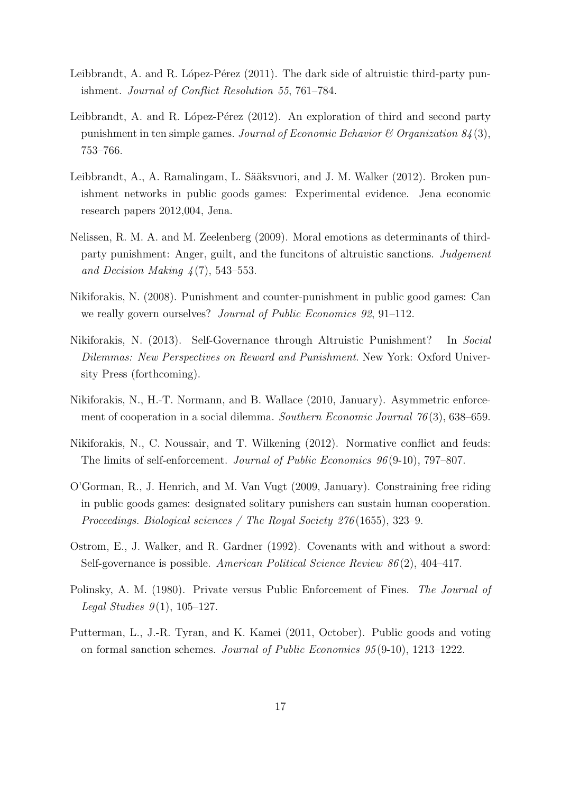- <span id="page-18-8"></span>Leibbrandt, A. and R. López-Pérez  $(2011)$ . The dark side of altruistic third-party punishment. Journal of Conflict Resolution 55, 761–784.
- <span id="page-18-9"></span>Leibbrandt, A. and R. López-Pérez (2012). An exploration of third and second party punishment in ten simple games. Journal of Economic Behavior  $\mathcal{C}$  Organization  $\mathcal{S}(\mathcal{A}(3))$ , 753–766.
- <span id="page-18-11"></span>Leibbrandt, A., A. Ramalingam, L. Sääksvuori, and J. M. Walker (2012). Broken punishment networks in public goods games: Experimental evidence. Jena economic research papers 2012,004, Jena.
- <span id="page-18-6"></span>Nelissen, R. M. A. and M. Zeelenberg (2009). Moral emotions as determinants of thirdparty punishment: Anger, guilt, and the funcitons of altruistic sanctions. Judgement and Decision Making  $\frac{1}{4}(7)$ , 543–553.
- <span id="page-18-3"></span>Nikiforakis, N. (2008). Punishment and counter-punishment in public good games: Can we really govern ourselves? Journal of Public Economics 92, 91–112.
- <span id="page-18-2"></span>Nikiforakis, N. (2013). Self-Governance through Altruistic Punishment? In Social Dilemmas: New Perspectives on Reward and Punishment. New York: Oxford University Press (forthcoming).
- <span id="page-18-10"></span>Nikiforakis, N., H.-T. Normann, and B. Wallace (2010, January). Asymmetric enforcement of cooperation in a social dilemma. Southern Economic Journal 76 (3), 638–659.
- <span id="page-18-4"></span>Nikiforakis, N., C. Noussair, and T. Wilkening (2012). Normative conflict and feuds: The limits of self-enforcement. Journal of Public Economics 96 (9-10), 797–807.
- <span id="page-18-7"></span>O'Gorman, R., J. Henrich, and M. Van Vugt (2009, January). Constraining free riding in public goods games: designated solitary punishers can sustain human cooperation. Proceedings. Biological sciences / The Royal Society 276 (1655), 323–9.
- <span id="page-18-1"></span>Ostrom, E., J. Walker, and R. Gardner (1992). Covenants with and without a sword: Self-governance is possible. American Political Science Review 86 (2), 404–417.
- <span id="page-18-0"></span>Polinsky, A. M. (1980). Private versus Public Enforcement of Fines. The Journal of Legal Studies  $9(1)$ , 105-127.
- <span id="page-18-5"></span>Putterman, L., J.-R. Tyran, and K. Kamei (2011, October). Public goods and voting on formal sanction schemes. Journal of Public Economics 95 (9-10), 1213–1222.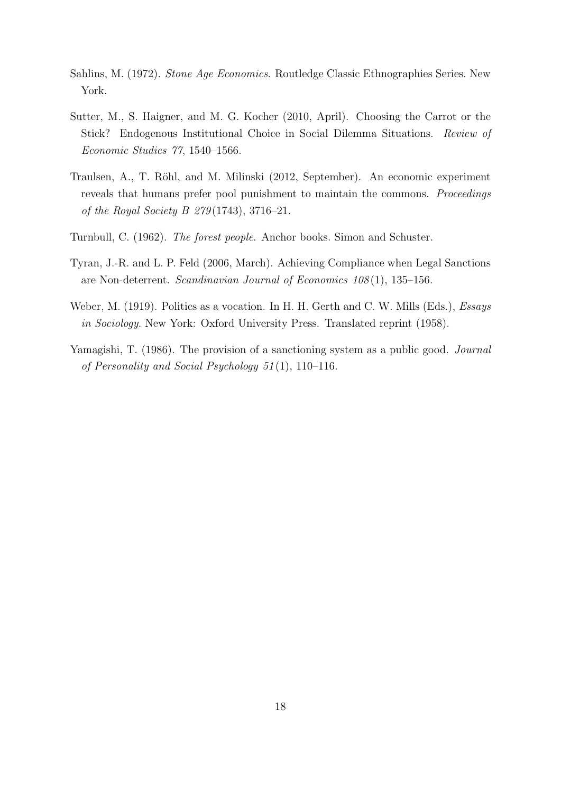- <span id="page-19-5"></span>Sahlins, M. (1972). Stone Age Economics. Routledge Classic Ethnographies Series. New York.
- <span id="page-19-3"></span>Sutter, M., S. Haigner, and M. G. Kocher (2010, April). Choosing the Carrot or the Stick? Endogenous Institutional Choice in Social Dilemma Situations. Review of Economic Studies 77, 1540–1566.
- <span id="page-19-6"></span>Traulsen, A., T. Röhl, and M. Milinski (2012, September). An economic experiment reveals that humans prefer pool punishment to maintain the commons. *Proceedings* of the Royal Society B  $279(1743)$ , 3716–21.
- <span id="page-19-4"></span>Turnbull, C. (1962). The forest people. Anchor books. Simon and Schuster.
- <span id="page-19-2"></span>Tyran, J.-R. and L. P. Feld (2006, March). Achieving Compliance when Legal Sanctions are Non-deterrent. Scandinavian Journal of Economics 108 (1), 135–156.
- <span id="page-19-0"></span>Weber, M. (1919). Politics as a vocation. In H. H. Gerth and C. W. Mills (Eds.), *Essays* in Sociology. New York: Oxford University Press. Translated reprint (1958).
- <span id="page-19-1"></span>Yamagishi, T. (1986). The provision of a sanctioning system as a public good. Journal of Personality and Social Psychology 51 (1), 110–116.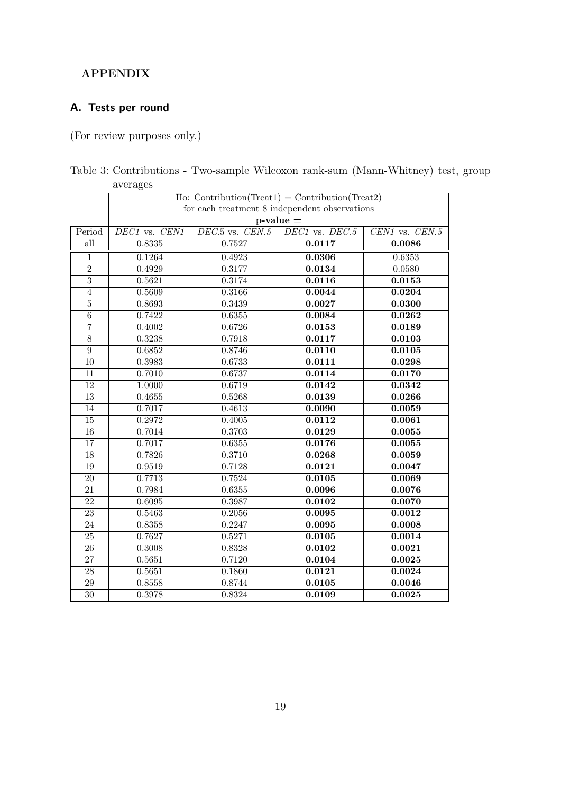## APPENDIX

## A. Tests per round

(For review purposes only.)

|                         | $\alpha$ , $\alpha$ , $\alpha$<br>$\text{Ho: } \text{Contribution}(\text{Teat1}) = \text{Contribution}(\text{Teat2})$ |                                       |                |                    |  |  |  |
|-------------------------|-----------------------------------------------------------------------------------------------------------------------|---------------------------------------|----------------|--------------------|--|--|--|
|                         | for each treatment 8 independent observations                                                                         |                                       |                |                    |  |  |  |
|                         | $p$ -value $=$                                                                                                        |                                       |                |                    |  |  |  |
| Period                  | $DE\overline{C1}$ vs. $CEN1$                                                                                          | $\overline{DEC.5 \text{ vs. } CEN.5}$ | DEC1 vs. DEC.5 | $CEN1$ vs. $CEN.5$ |  |  |  |
| $\overline{\text{all}}$ | 0.8335                                                                                                                | 0.7527                                | 0.0117         | 0.0086             |  |  |  |
| $\mathbf 1$             | 0.1264                                                                                                                | 0.4923                                | 0.0306         | 0.6353             |  |  |  |
| $\overline{2}$          | 0.4929                                                                                                                | 0.3177                                | 0.0134         | 0.0580             |  |  |  |
| $\overline{3}$          | 0.5621                                                                                                                | 0.3174                                | 0.0116         | 0.0153             |  |  |  |
| $\overline{4}$          | 0.5609                                                                                                                | 0.3166                                | 0.0044         | 0.0204             |  |  |  |
| $\overline{5}$          | 0.8693                                                                                                                | 0.3439                                | 0.0027         | 0.0300             |  |  |  |
| $\overline{6}$          | 0.7422                                                                                                                | 0.6355                                | 0.0084         | 0.0262             |  |  |  |
| $\overline{7}$          | 0.4002                                                                                                                | 0.6726                                | 0.0153         | 0.0189             |  |  |  |
| $\overline{8}$          | 0.3238                                                                                                                | 0.7918                                | 0.0117         | 0.0103             |  |  |  |
| $\overline{9}$          | 0.6852                                                                                                                | 0.8746                                | 0.0110         | 0.0105             |  |  |  |
| $\overline{10}$         | 0.3983                                                                                                                | 0.6733                                | 0.0111         | 0.0298             |  |  |  |
| $\overline{11}$         | 0.7010                                                                                                                | 0.6737                                | 0.0114         | 0.0170             |  |  |  |
| $\overline{12}$         | 1.0000                                                                                                                | 0.6719                                | 0.0142         | 0.0342             |  |  |  |
| $\overline{13}$         | 0.4655                                                                                                                | 0.5268                                | 0.0139         | 0.0266             |  |  |  |
| 14                      | 0.7017                                                                                                                | 0.4613                                | 0.0090         | 0.0059             |  |  |  |
| $\overline{15}$         | 0.2972                                                                                                                | 0.4005                                | 0.0112         | 0.0061             |  |  |  |
| $\overline{16}$         | 0.7014                                                                                                                | 0.3703                                | 0.0129         | 0.0055             |  |  |  |
| 17                      | 0.7017                                                                                                                | 0.6355                                | 0.0176         | 0.0055             |  |  |  |
| $\overline{18}$         | 0.7826                                                                                                                | 0.3710                                | 0.0268         | 0.0059             |  |  |  |
| 19                      | 0.9519                                                                                                                | 0.7128                                | 0.0121         | 0.0047             |  |  |  |
| 20                      | 0.7713                                                                                                                | 0.7524                                | 0.0105         | 0.0069             |  |  |  |
| 21                      | 0.7984                                                                                                                | 0.6355                                | 0.0096         | 0.0076             |  |  |  |
| $\overline{22}$         | 0.6095                                                                                                                | 0.3987                                | 0.0102         | 0.0070             |  |  |  |
| 23                      | 0.5463                                                                                                                | 0.2056                                | 0.0095         | 0.0012             |  |  |  |
| $\overline{24}$         | 0.8358                                                                                                                | 0.2247                                | 0.0095         | 0.0008             |  |  |  |
| $\overline{25}$         | 0.7627                                                                                                                | 0.5271                                | 0.0105         | 0.0014             |  |  |  |
| $\overline{26}$         | 0.3008                                                                                                                | 0.8328                                | 0.0102         | 0.0021             |  |  |  |
| $\overline{27}$         | 0.5651                                                                                                                | 0.7120                                | 0.0104         | 0.0025             |  |  |  |
| $\overline{28}$         | 0.5651                                                                                                                | 0.1860                                | 0.0121         | 0.0024             |  |  |  |
| $\overline{29}$         | 0.8558                                                                                                                | 0.8744                                | 0.0105         | 0.0046             |  |  |  |
| $\overline{30}$         | 0.3978                                                                                                                | 0.8324                                | 0.0109         | 0.0025             |  |  |  |

|          |  | Table 3: Contributions - Two-sample Wilcoxon rank-sum (Mann-Whitney) test, group |  |
|----------|--|----------------------------------------------------------------------------------|--|
| averages |  |                                                                                  |  |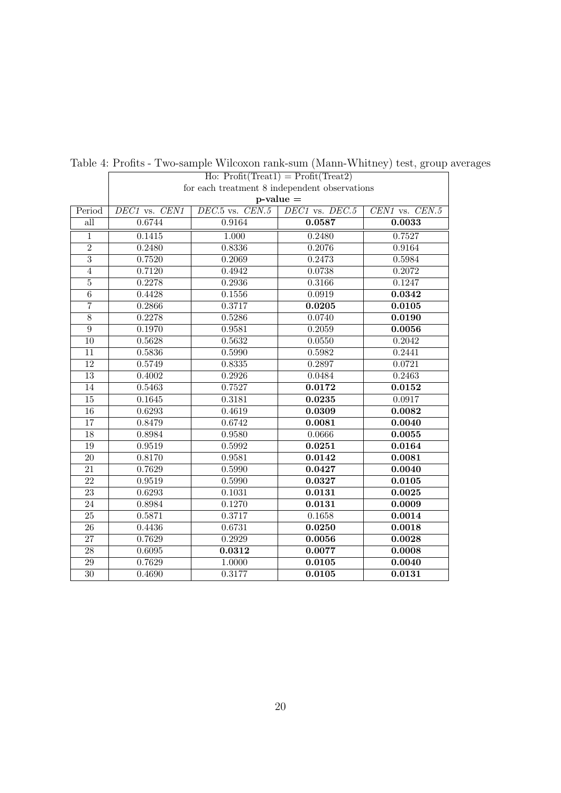|                 | $\text{Ho: Profit}(\text{Treat1}) = \text{Profit}(\text{Treat2})$ |                     |                    |                    |  |  |
|-----------------|-------------------------------------------------------------------|---------------------|--------------------|--------------------|--|--|
|                 | for each treatment 8 independent observations                     |                     |                    |                    |  |  |
|                 | $p$ -value $=$                                                    |                     |                    |                    |  |  |
| Period          | $\overline{DEC1}$ vs. $\overline{CEN1}$                           | $DEC.5$ vs. $CEN.5$ | $DEC1$ vs. $DEC.5$ | $CEN1$ vs. $CEN.5$ |  |  |
| all             | 0.6744                                                            | 0.9164              | 0.0587             | 0.0033             |  |  |
| $\overline{1}$  | 0.1415                                                            | 1.000               | 0.2480             | 0.7527             |  |  |
| $\overline{2}$  | 0.2480                                                            | 0.8336              | 0.2076             | 0.9164             |  |  |
| $\overline{3}$  | 0.7520                                                            | 0.2069              | 0.2473             | 0.5984             |  |  |
| $\overline{4}$  | 0.7120                                                            | 0.4942              | 0.0738             | 0.2072             |  |  |
| $\overline{5}$  | 0.2278                                                            | 0.2936              | 0.3166             | 0.1247             |  |  |
| $\overline{6}$  | 0.4428                                                            | 0.1556              | 0.0919             | 0.0342             |  |  |
| $\overline{7}$  | 0.2866                                                            | 0.3717              | 0.0205             | 0.0105             |  |  |
| $\overline{8}$  | 0.2278                                                            | 0.5286              | 0.0740             | 0.0190             |  |  |
| $\overline{9}$  | 0.1970                                                            | 0.9581              | 0.2059             | 0.0056             |  |  |
| $\overline{10}$ | 0.5628                                                            | 0.5632              | 0.0550             | 0.2042             |  |  |
| 11              | 0.5836                                                            | 0.5990              | 0.5982             | 0.2441             |  |  |
| 12              | 0.5749                                                            | 0.8335              | 0.2897             | 0.0721             |  |  |
| 13              | 0.4002                                                            | 0.2926              | 0.0484             | 0.2463             |  |  |
| 14              | 0.5463                                                            | 0.7527              | 0.0172             | 0.0152             |  |  |
| $\overline{15}$ | 0.1645                                                            | 0.3181              | 0.0235             | 0.0917             |  |  |
| $\overline{16}$ | 0.6293                                                            | 0.4619              | 0.0309             | 0.0082             |  |  |
| $\overline{17}$ | 0.8479                                                            | 0.6742              | 0.0081             | 0.0040             |  |  |
| 18              | 0.8984                                                            | 0.9580              | 0.0666             | 0.0055             |  |  |
| 19              | 0.9519                                                            | 0.5992              | 0.0251             | 0.0164             |  |  |
| 20              | 0.8170                                                            | 0.9581              | 0.0142             | 0.0081             |  |  |
| 21              | 0.7629                                                            | 0.5990              | 0.0427             | 0.0040             |  |  |
| $\overline{22}$ | 0.9519                                                            | 0.5990              | 0.0327             | 0.0105             |  |  |
| $\overline{23}$ | 0.6293                                                            | 0.1031              | 0.0131             | 0.0025             |  |  |
| $\overline{24}$ | 0.8984                                                            | 0.1270              | 0.0131             | 0.0009             |  |  |
| $\overline{25}$ | 0.5871                                                            | 0.3717              | 0.1658             | 0.0014             |  |  |
| $\overline{26}$ | 0.4436                                                            | 0.6731              | 0.0250             | 0.0018             |  |  |
| $\overline{27}$ | 0.7629                                                            | 0.2929              | 0.0056             | 0.0028             |  |  |
| $\overline{28}$ | 0.6095                                                            | 0.0312              | 0.0077             | 0.0008             |  |  |
| $\overline{29}$ | 0.7629                                                            | 1.0000              | 0.0105             | 0.0040             |  |  |
| $\overline{30}$ | 0.4690                                                            | 0.3177              | 0.0105             | 0.0131             |  |  |

Table 4: Profits - Two-sample Wilcoxon rank-sum (Mann-Whitney) test, group averages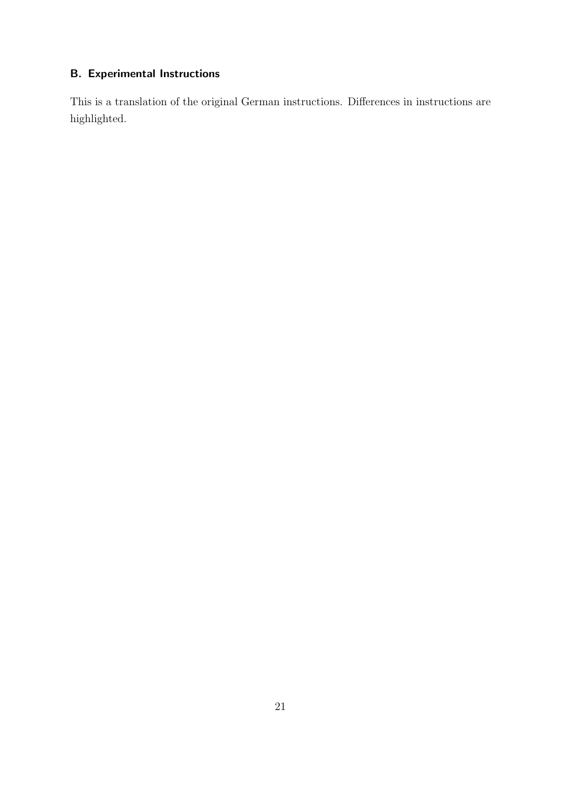## B. Experimental Instructions

This is a translation of the original German instructions. Differences in instructions are highlighted.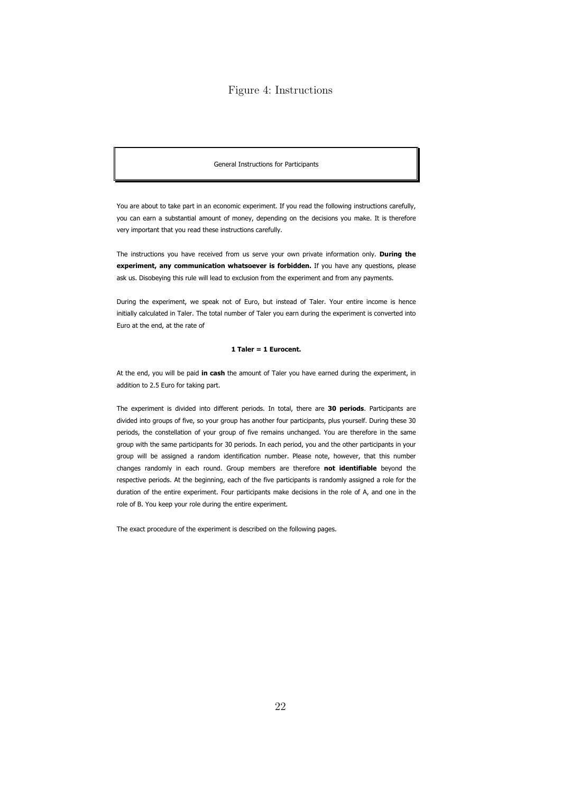### Figure 4: Instructions

General Instructions for Participants

You are about to take part in an economic experiment. If you read the following instructions carefully, you can earn a substantial amount of money, depending on the decisions you make. It is therefore very important that you read these instructions carefully.

The instructions you have received from us serve your own private information only. During the experiment, any communication whatsoever is forbidden. If you have any questions, please ask us. Disobeying this rule will lead to exclusion from the experiment and from any payments.

During the experiment, we speak not of Euro, but instead of Taler. Your entire income is hence initially calculated in Taler. The total number of Taler you earn during the experiment is converted into Euro at the end, at the rate of

### 1 Taler = 1 Eurocent.

At the end, you will be paid in cash the amount of Taler you have earned during the experiment, in addition to 2.5 Euro for taking part.

The experiment is divided into different periods. In total, there are 30 periods. Participants are divided into groups of five, so your group has another four participants, plus yourself. During these 30 periods, the constellation of your group of five remains unchanged. You are therefore in the same group with the same participants for 30 periods. In each period, you and the other participants in your group will be assigned a random identification number. Please note, however, that this number changes randomly in each round. Group members are therefore not identifiable beyond the respective periods. At the beginning, each of the five participants is randomly assigned a role for the duration of the entire experiment. Four participants make decisions in the role of A, and one in the role of B. You keep your role during the entire experiment.

The exact procedure of the experiment is described on the following pages.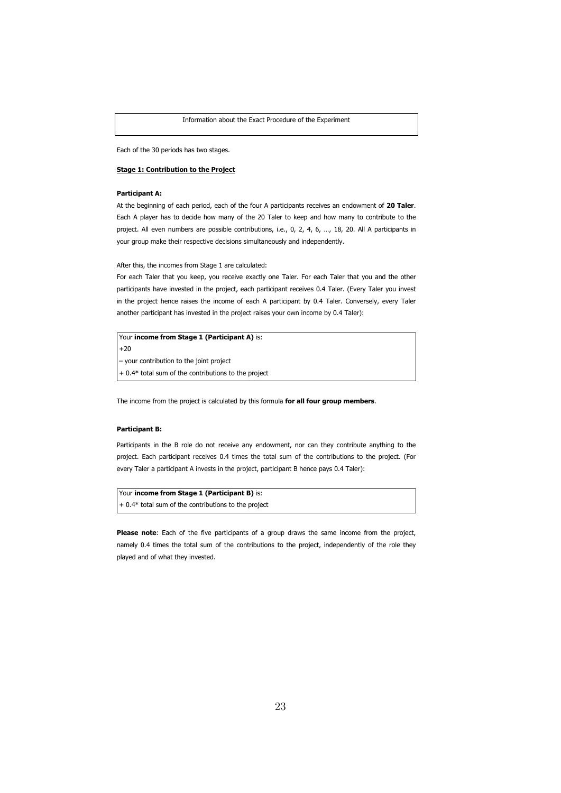Each of the 30 periods has two stages.

### Stage 1: Contribution to the Project

### Participant A:

At the beginning of each period, each of the four A participants receives an endowment of 20 Taler. Each A player has to decide how many of the 20 Taler to keep and how many to contribute to the project. All even numbers are possible contributions, i.e., 0, 2, 4, 6, ..., 18, 20. All A participants in your group make their respective decisions simultaneously and independently.

After this, the incomes from Stage 1 are calculated:

For each Taler that you keep, you receive exactly one Taler. For each Taler that you and the other participants have invested in the project, each participant receives 0.4 Taler. (Every Taler you invest in the project hence raises the income of each A participant by 0.4 Taler. Conversely, every Taler another participant has invested in the project raises your own income by 0.4 Taler):

Your income from Stage 1 (Participant A) is: +20 – your contribution to the joint project

+ 0.4\* total sum of the contributions to the project

The income from the project is calculated by this formula for all four group members.

### Participant B:

Participants in the B role do not receive any endowment, nor can they contribute anything to the project. Each participant receives 0.4 times the total sum of the contributions to the project. (For every Taler a participant A invests in the project, participant B hence pays 0.4 Taler):

Your income from Stage 1 (Participant B) is: + 0.4\* total sum of the contributions to the project

Please note: Each of the five participants of a group draws the same income from the project, namely 0.4 times the total sum of the contributions to the project, independently of the role they played and of what they invested.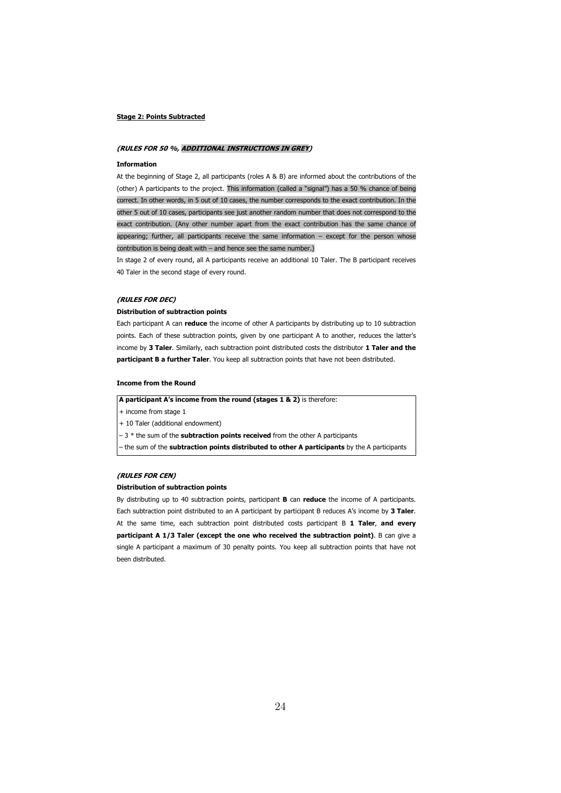#### Stage 2: Points Subtracted

### (RULES FOR 50 %, ADDITIONAL INSTRUCTIONS IN GREY)

#### Information

At the beginning of Stage 2, all participants (roles A & B) are informed about the contributions of the (other) A participants to the project. This information (called a "signal") has a 50 % chance of being correct. In other words, in 5 out of 10 cases, the number corresponds to the exact contribution. In the other 5 out of 10 cases, participants see just another random number that does not correspond to the exact contribution. (Any other number apart from the exact contribution has the same chance of appearing; further, all participants receive the same information – except for the person whose contribution is being dealt with – and hence see the same number.)

In stage 2 of every round, all A participants receive an additional 10 Taler. The B participant receives 40 Taler in the second stage of every round.

#### (RULES FOR DEC)

### Distribution of subtraction points

Each participant A can reduce the income of other A participants by distributing up to 10 subtraction points. Each of these subtraction points, given by one participant A to another, reduces the latter's income by 3 Taler. Similarly, each subtraction point distributed costs the distributor 1 Taler and the participant B a further Taler. You keep all subtraction points that have not been distributed.

#### Income from the Round

A participant A's income from the round (stages 1 & 2) is therefore:

+ income from stage 1

+ 10 Taler (additional endowment)

- 3 \* the sum of the subtraction points received from the other A participants

- the sum of the subtraction points distributed to other A participants by the A participants

### (RULES FOR CEN)

#### Distribution of subtraction points

By distributing up to 40 subtraction points, participant **B** can reduce the income of A participants. Each subtraction point distributed to an A participant by participant B reduces A's income by 3 Taler. At the same time, each subtraction point distributed costs participant B 1 Taler, and every participant A 1/3 Taler (except the one who received the subtraction point). B can give a single A participant a maximum of 30 penalty points. You keep all subtraction points that have not been distributed.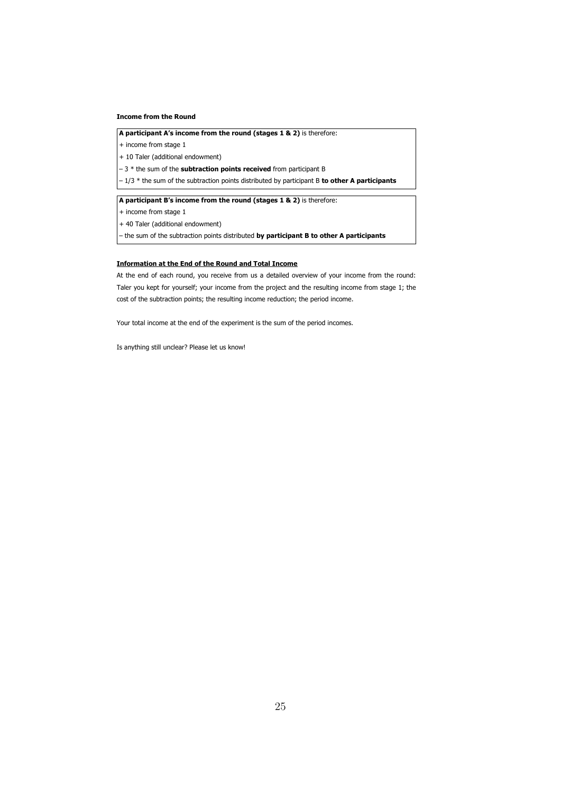### Income from the Round

A participant A's income from the round (stages 1 & 2) is therefore:

+ income from stage 1

+ 10 Taler (additional endowment)

 $-3$  \* the sum of the **subtraction points received** from participant B

 $-1/3$  \* the sum of the subtraction points distributed by participant B to other A participants

A participant B's income from the round (stages 1 & 2) is therefore:

+ income from stage 1

+ 40 Taler (additional endowment)

– the sum of the subtraction points distributed by participant B to other A participants

### Information at the End of the Round and Total Income

At the end of each round, you receive from us a detailed overview of your income from the round: Taler you kept for yourself; your income from the project and the resulting income from stage 1; the cost of the subtraction points; the resulting income reduction; the period income.

Your total income at the end of the experiment is the sum of the period incomes.

Is anything still unclear? Please let us know!